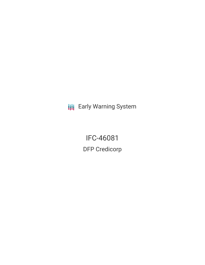**III** Early Warning System

IFC-46081 DFP Credicorp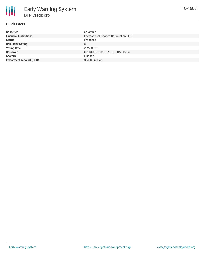| <b>Countries</b>               | Colombia                                |
|--------------------------------|-----------------------------------------|
| <b>Financial Institutions</b>  | International Finance Corporation (IFC) |
| <b>Status</b>                  | Proposed                                |
| <b>Bank Risk Rating</b>        |                                         |
| <b>Voting Date</b>             | 2022-06-13                              |
| <b>Borrower</b>                | CREDICORP CAPITAL COLOMBIA SA           |
| <b>Sectors</b>                 | Finance                                 |
| <b>Investment Amount (USD)</b> | \$50.00 million                         |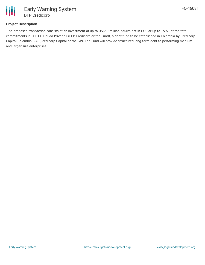

# **Project Description**

The proposed transaction consists of an investment of up to US\$50 million equivalent in COP or up to 15% of the total commitments in FCP CC Deuda Privada I (FCP Credicorp or the Fund), a debt fund to be established in Colombia by Credicorp Capital Colombia S.A. (Credicorp Capital or the GP). The Fund will provide structured long-term debt to performing medium and larger size enterprises.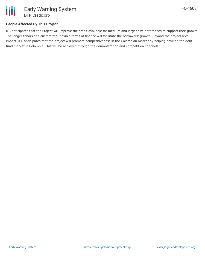

# **People Affected By This Project**

IFC anticipates that the Project will improve the credit available for medium and larger size enterprises to support their growth. The longer-tenors and customized, flexible forms of finance will facilitate the borrowers' growth. Beyond the project-level impact, IFC anticipates that the project will promote competitiveness in the Colombian market by helping develop the debt fund market in Colombia. This will be achieved through the demonstration and competition channels.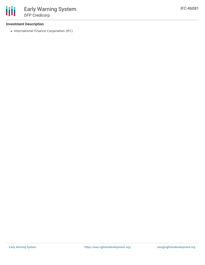## **Investment Description**

• International Finance Corporation (IFC)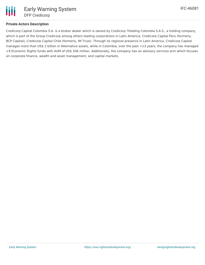

## **Private Actors Description**

Credicorp Capital Colombia S.A. is a broker dealer which is owned by Credicorp ?Holding Colombia S.A.S., a holding company, which is part of the Group Credicorp among others leading corporations in Latin America: Credicorp Capital Peru (formerly, BCP Capital), Credicorp Capital Chile (formerly, IM Trust). Through its regional presence in Latin America, Credicorp Capital manages more than US\$ 2 billion in Alternative assets, while in Colombia, over the past +13 years, the company has managed +9 Economic Rights funds with AUM of US\$ 206 million. Additionally, the company has an advisory services arm which focuses on corporate finance, wealth and asset management, and capital markets.